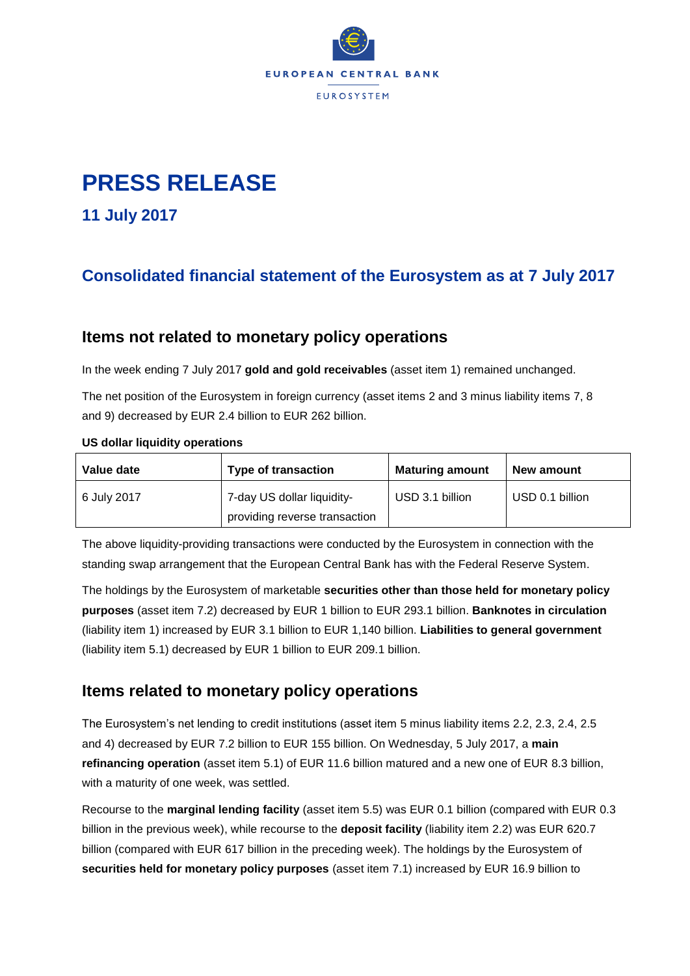

# **PRESS RELEASE**

**11 July 2017**

# **Consolidated financial statement of the Eurosystem as at 7 July 2017**

### **Items not related to monetary policy operations**

In the week ending 7 July 2017 **gold and gold receivables** (asset item 1) remained unchanged.

The net position of the Eurosystem in foreign currency (asset items 2 and 3 minus liability items 7, 8 and 9) decreased by EUR 2.4 billion to EUR 262 billion.

#### **US dollar liquidity operations**

| Value date  | <b>Type of transaction</b>    | <b>Maturing amount</b> | New amount      |
|-------------|-------------------------------|------------------------|-----------------|
| 6 July 2017 | 7-day US dollar liquidity-    | USD 3.1 billion        | USD 0.1 billion |
|             | providing reverse transaction |                        |                 |

The above liquidity-providing transactions were conducted by the Eurosystem in connection with the standing swap arrangement that the European Central Bank has with the Federal Reserve System.

The holdings by the Eurosystem of marketable **securities other than those held for monetary policy purposes** (asset item 7.2) decreased by EUR 1 billion to EUR 293.1 billion. **Banknotes in circulation** (liability item 1) increased by EUR 3.1 billion to EUR 1,140 billion. **Liabilities to general government** (liability item 5.1) decreased by EUR 1 billion to EUR 209.1 billion.

## **Items related to monetary policy operations**

The Eurosystem's net lending to credit institutions (asset item 5 minus liability items 2.2, 2.3, 2.4, 2.5 and 4) decreased by EUR 7.2 billion to EUR 155 billion. On Wednesday, 5 July 2017, a **main refinancing operation** (asset item 5.1) of EUR 11.6 billion matured and a new one of EUR 8.3 billion, with a maturity of one week, was settled.

Recourse to the **marginal lending facility** (asset item 5.5) was EUR 0.1 billion (compared with EUR 0.3 billion in the previous week), while recourse to the **deposit facility** (liability item 2.2) was EUR 620.7 billion (compared with EUR 617 billion in the preceding week). The holdings by the Eurosystem of **securities held for monetary policy purposes** (asset item 7.1) increased by EUR 16.9 billion to